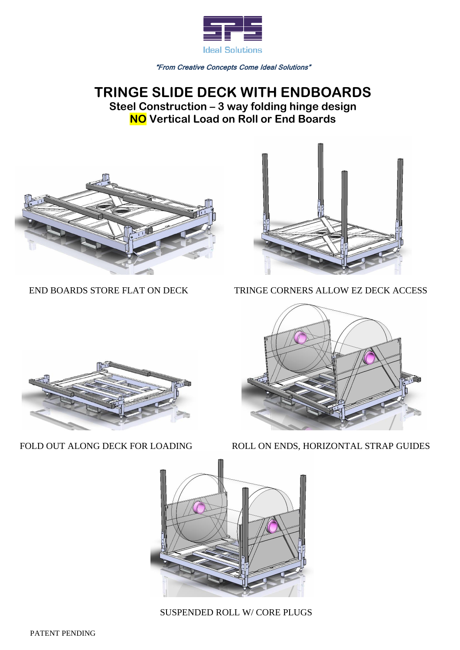

"From Creative Concepts Come Ideal Solutions"

## **TRINGE SLIDE DECK WITH ENDBOARDS Steel Construction – 3 way folding hinge design NO Vertical Load on Roll or End Boards**





END BOARDS STORE FLAT ON DECK TRINGE CORNERS ALLOW EZ DECK ACCESS





FOLD OUT ALONG DECK FOR LOADING ROLL ON ENDS, HORIZONTAL STRAP GUIDES



SUSPENDED ROLL W/ CORE PLUGS